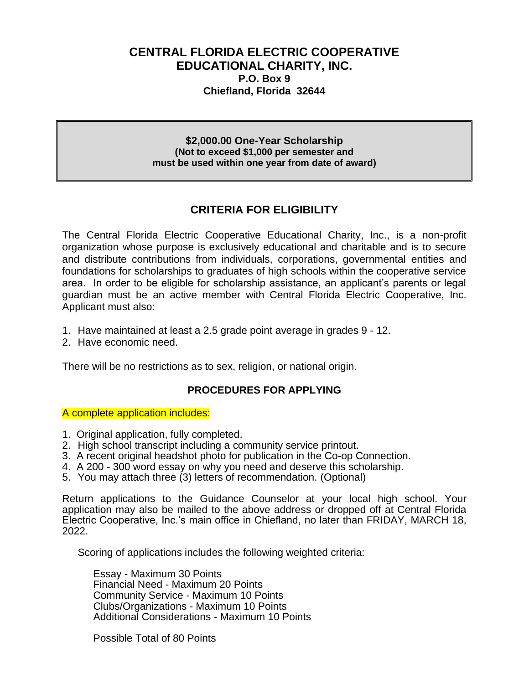### **CENTRAL FLORIDA ELECTRIC COOPERATIVE EDUCATIONAL CHARITY, INC. P.O. Box 9 Chiefland, Florida 32644**

**\$2,000.00 One-Year Scholarship (Not to exceed \$1,000 per semester and must be used within one year from date of award)**

## **CRITERIA FOR ELIGIBILITY**

The Central Florida Electric Cooperative Educational Charity, Inc., is a non-profit organization whose purpose is exclusively educational and charitable and is to secure and distribute contributions from individuals, corporations, governmental entities and foundations for scholarships to graduates of high schools within the cooperative service area. In order to be eligible for scholarship assistance, an applicant's parents or legal guardian must be an active member with Central Florida Electric Cooperative, Inc. Applicant must also:

- 1. Have maintained at least a 2.5 grade point average in grades 9 12.
- 2. Have economic need.

There will be no restrictions as to sex, religion, or national origin.

#### **PROCEDURES FOR APPLYING**

A complete application includes:

- 1. Original application, fully completed.
- 2. High school transcript including a community service printout.
- 3. A recent original headshot photo for publication in the Co-op Connection.
- 4. A 200 300 word essay on why you need and deserve this scholarship.
- 5. You may attach three (3) letters of recommendation. (Optional)

Return applications to the Guidance Counselor at your local high school. Your application may also be mailed to the above address or dropped off at Central Florida Electric Cooperative, Inc.'s main office in Chiefland, no later than FRIDAY, MARCH 18, 2022.

Scoring of applications includes the following weighted criteria:

Essay - Maximum 30 Points Financial Need - Maximum 20 Points Community Service - Maximum 10 Points Clubs/Organizations - Maximum 10 Points Additional Considerations - Maximum 10 Points

Possible Total of 80 Points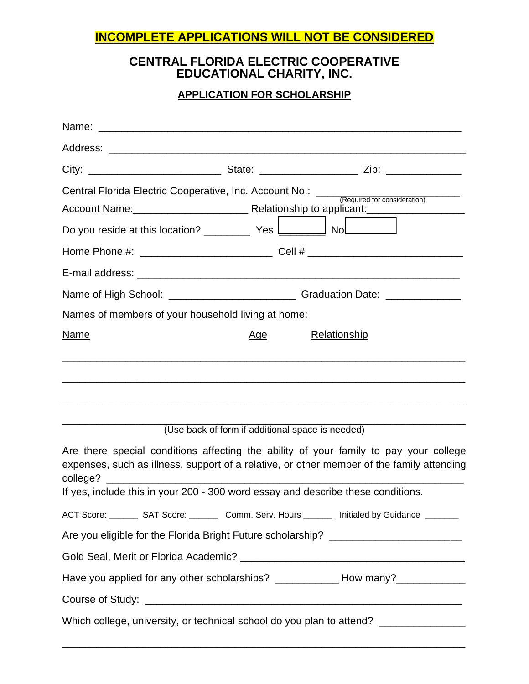# **INCOMPLETE APPLICATIONS WILL NOT BE CONSIDERED**

# **CENTRAL FLORIDA ELECTRIC COOPERATIVE EDUCATIONAL CHARITY, INC.**

## **APPLICATION FOR SCHOLARSHIP**

|                                                                                  |                                                  | Central Florida Electric Cooperative, Inc. Account No.: <u>Capalined</u> for consideration                                                                                         |
|----------------------------------------------------------------------------------|--------------------------------------------------|------------------------------------------------------------------------------------------------------------------------------------------------------------------------------------|
| Do you reside at this location? _____________ Yes ____________ No_______________ |                                                  |                                                                                                                                                                                    |
|                                                                                  |                                                  |                                                                                                                                                                                    |
|                                                                                  |                                                  |                                                                                                                                                                                    |
|                                                                                  |                                                  |                                                                                                                                                                                    |
| Names of members of your household living at home:                               |                                                  |                                                                                                                                                                                    |
| <b>Name</b>                                                                      | <u>Age</u>                                       | <b>Relationship</b>                                                                                                                                                                |
|                                                                                  | (Use back of form if additional space is needed) | Are there special conditions affecting the ability of your family to pay your college<br>expenses, such as illness, support of a relative, or other member of the family attending |
| If yes, include this in your 200 - 300 word essay and describe these conditions. |                                                  |                                                                                                                                                                                    |
|                                                                                  |                                                  | ACT Score: _________ SAT Score: __________ Comm. Serv. Hours ________ Initialed by Guidance ________                                                                               |
|                                                                                  |                                                  | Are you eligible for the Florida Bright Future scholarship? _____________________                                                                                                  |
|                                                                                  |                                                  |                                                                                                                                                                                    |
|                                                                                  |                                                  | Have you applied for any other scholarships? ______________ How many?___________                                                                                                   |
|                                                                                  |                                                  |                                                                                                                                                                                    |
|                                                                                  |                                                  | Which college, university, or technical school do you plan to attend? ___________                                                                                                  |